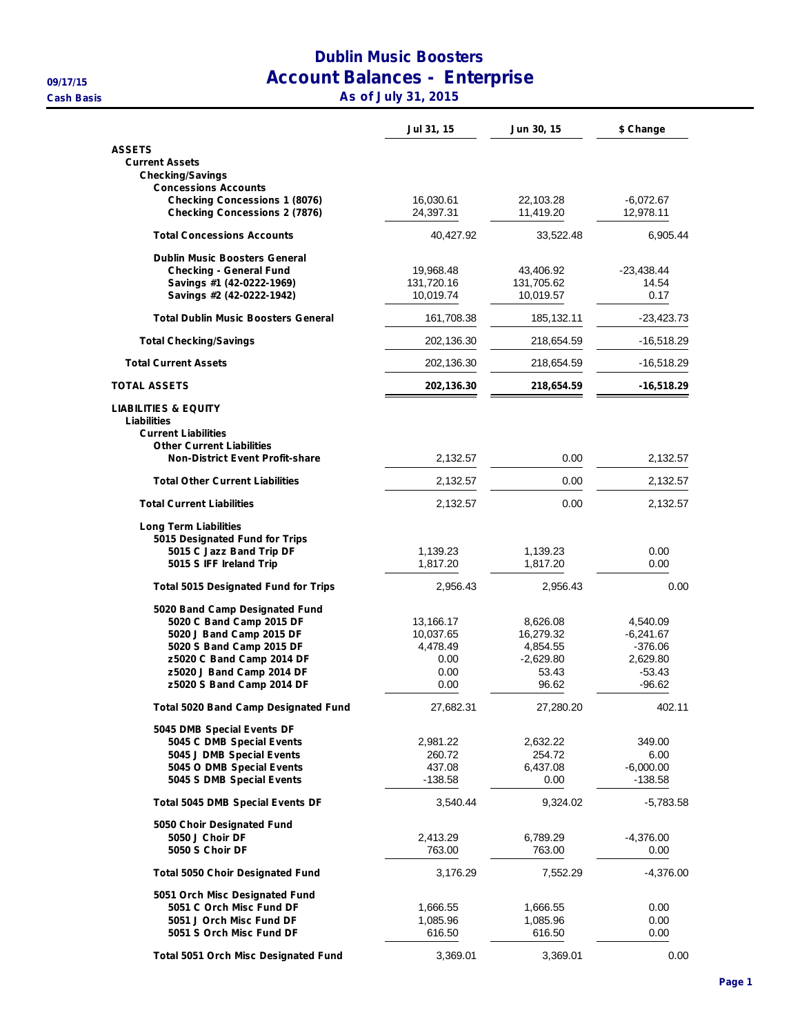## **Dublin Music Boosters 09/17/15 Account Balances - Enterprise Cash Basis As of July 31, 2015**

|                                                                                                                                                                                                           | Jul 31, 15                                                 | Jun 30, 15                                                         | \$ Change                                                                |
|-----------------------------------------------------------------------------------------------------------------------------------------------------------------------------------------------------------|------------------------------------------------------------|--------------------------------------------------------------------|--------------------------------------------------------------------------|
| <b>ASSETS</b><br><b>Current Assets</b><br><b>Checking/Savings</b>                                                                                                                                         |                                                            |                                                                    |                                                                          |
| <b>Concessions Accounts</b>                                                                                                                                                                               |                                                            |                                                                    |                                                                          |
| <b>Checking Concessions 1 (8076)</b><br><b>Checking Concessions 2 (7876)</b>                                                                                                                              | 16,030.61<br>24,397.31                                     | 22,103.28<br>11,419.20                                             | $-6,072.67$<br>12,978.11                                                 |
| <b>Total Concessions Accounts</b>                                                                                                                                                                         | 40,427.92                                                  | 33,522.48                                                          | 6,905.44                                                                 |
| <b>Dublin Music Boosters General</b><br><b>Checking - General Fund</b><br>Savings #1 (42-0222-1969)<br>Savings #2 (42-0222-1942)                                                                          | 19,968.48<br>131,720.16<br>10,019.74                       | 43,406.92<br>131,705.62<br>10,019.57                               | $-23,438.44$<br>14.54<br>0.17                                            |
| <b>Total Dublin Music Boosters General</b>                                                                                                                                                                | 161,708.38                                                 | 185, 132. 11                                                       | -23,423.73                                                               |
| <b>Total Checking/Savings</b>                                                                                                                                                                             | 202,136.30                                                 | 218,654.59                                                         | $-16,518.29$                                                             |
| <b>Total Current Assets</b>                                                                                                                                                                               | 202,136.30                                                 | 218,654.59                                                         | -16,518.29                                                               |
| <b>TOTAL ASSETS</b>                                                                                                                                                                                       | 202,136.30                                                 | 218,654.59                                                         | $-16,518.29$                                                             |
| <b>LIABILITIES &amp; EQUITY</b><br>Liabilities<br><b>Current Liabilities</b><br><b>Other Current Liabilities</b>                                                                                          |                                                            |                                                                    |                                                                          |
| <b>Non-District Event Profit-share</b>                                                                                                                                                                    | 2,132.57                                                   | 0.00                                                               | 2,132.57                                                                 |
| <b>Total Other Current Liabilities</b>                                                                                                                                                                    | 2,132.57                                                   | 0.00                                                               | 2,132.57                                                                 |
| <b>Total Current Liabilities</b>                                                                                                                                                                          | 2,132.57                                                   | 0.00                                                               | 2,132.57                                                                 |
| <b>Long Term Liabilities</b><br>5015 Designated Fund for Trips                                                                                                                                            |                                                            |                                                                    |                                                                          |
| 5015 C Jazz Band Trip DF<br>5015 S IFF Ireland Trip                                                                                                                                                       | 1,139.23<br>1,817.20                                       | 1,139.23<br>1,817.20                                               | 0.00<br>0.00                                                             |
| <b>Total 5015 Designated Fund for Trips</b>                                                                                                                                                               | 2,956.43                                                   | 2,956.43                                                           | 0.00                                                                     |
| 5020 Band Camp Designated Fund<br>5020 C Band Camp 2015 DF<br>5020 J Band Camp 2015 DF<br>5020 S Band Camp 2015 DF<br>z5020 C Band Camp 2014 DF<br>z5020 J Band Camp 2014 DF<br>z5020 S Band Camp 2014 DF | 13,166.17<br>10,037.65<br>4,478.49<br>0.00<br>0.00<br>0.00 | 8,626.08<br>16,279.32<br>4,854.55<br>$-2,629.80$<br>53.43<br>96.62 | 4,540.09<br>$-6,241.67$<br>$-376.06$<br>2,629.80<br>$-53.43$<br>$-96.62$ |
| <b>Total 5020 Band Camp Designated Fund</b>                                                                                                                                                               | 27,682.31                                                  | 27,280.20                                                          | 402.11                                                                   |
| 5045 DMB Special Events DF<br>5045 C DMB Special Events<br>5045 J DMB Special Events<br>5045 O DMB Special Events<br>5045 S DMB Special Events                                                            | 2,981.22<br>260.72<br>437.08<br>$-138.58$                  | 2,632.22<br>254.72<br>6,437.08<br>0.00                             | 349.00<br>6.00<br>$-6,000.00$<br>$-138.58$                               |
| <b>Total 5045 DMB Special Events DF</b>                                                                                                                                                                   | 3,540.44                                                   | 9,324.02                                                           | $-5,783.58$                                                              |
| 5050 Choir Designated Fund<br>5050 J Choir DF<br>5050 S Choir DF                                                                                                                                          | 2,413.29<br>763.00                                         | 6,789.29<br>763.00                                                 | $-4,376.00$<br>0.00                                                      |
| <b>Total 5050 Choir Designated Fund</b>                                                                                                                                                                   | 3,176.29                                                   | 7,552.29                                                           | $-4,376.00$                                                              |
| 5051 Orch Misc Designated Fund<br>5051 C Orch Misc Fund DF<br>5051 J Orch Misc Fund DF<br>5051 S Orch Misc Fund DF                                                                                        | 1,666.55<br>1,085.96<br>616.50                             | 1,666.55<br>1,085.96<br>616.50                                     | 0.00<br>0.00<br>0.00                                                     |
| <b>Total 5051 Orch Misc Designated Fund</b>                                                                                                                                                               | 3,369.01                                                   | 3,369.01                                                           | 0.00                                                                     |